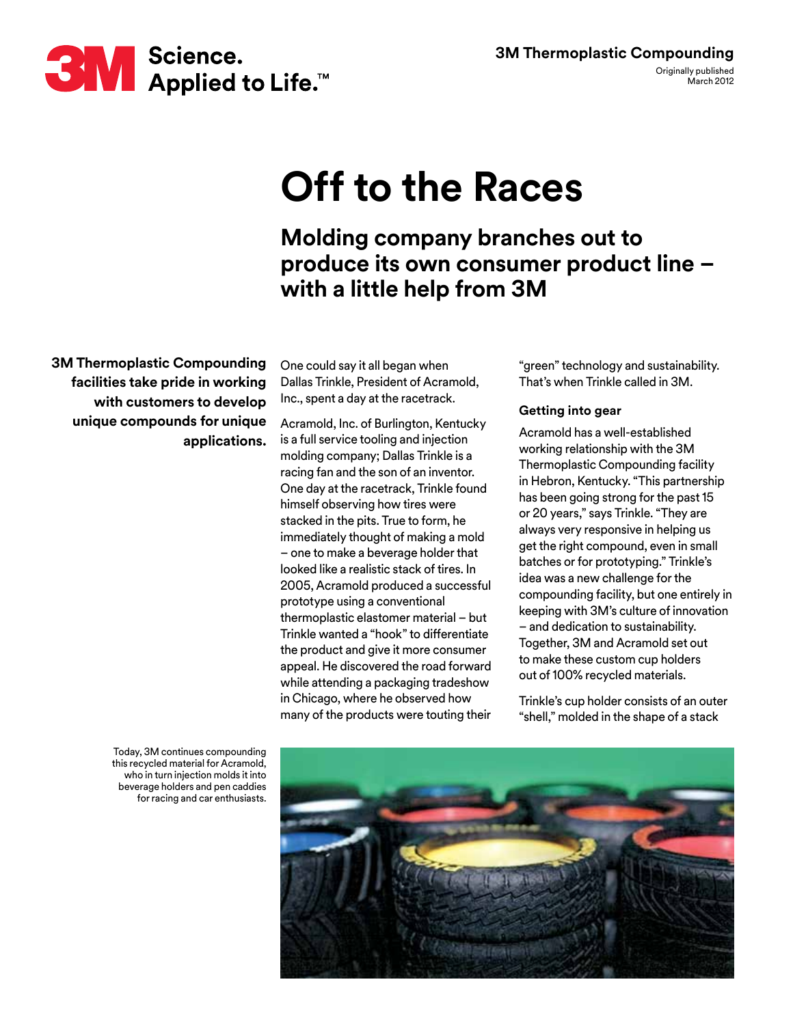## **Off to the Races**

**Molding company branches out to produce its own consumer product line – with a little help from 3M**

**3M Thermoplastic Compounding facilities take pride in working with customers to develop unique compounds for unique applications.**

One could say it all began when Dallas Trinkle, President of Acramold, Inc., spent a day at the racetrack.

Acramold, Inc. of Burlington, Kentucky is a full service tooling and injection molding company; Dallas Trinkle is a racing fan and the son of an inventor. One day at the racetrack, Trinkle found himself observing how tires were stacked in the pits. True to form, he immediately thought of making a mold – one to make a beverage holder that looked like a realistic stack of tires. In 2005, Acramold produced a successful prototype using a conventional thermoplastic elastomer material – but Trinkle wanted a "hook" to differentiate the product and give it more consumer appeal. He discovered the road forward while attending a packaging tradeshow in Chicago, where he observed how many of the products were touting their

"green" technology and sustainability. That's when Trinkle called in 3M.

## **Getting into gear**

Acramold has a well-established working relationship with the 3M Thermoplastic Compounding facility in Hebron, Kentucky. "This partnership has been going strong for the past 15 or 20 years," says Trinkle. "They are always very responsive in helping us get the right compound, even in small batches or for prototyping." Trinkle's idea was a new challenge for the compounding facility, but one entirely in keeping with 3M's culture of innovation – and dedication to sustainability. Together, 3M and Acramold set out to make these custom cup holders out of 100% recycled materials.

Trinkle's cup holder consists of an outer "shell," molded in the shape of a stack

Today, 3M continues compounding this recycled material for Acramold, who in turn injection molds it into beverage holders and pen caddies for racing and car enthusiasts.